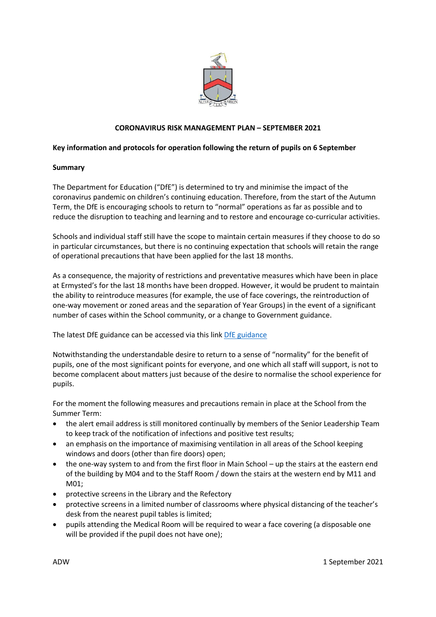

# **CORONAVIRUS RISK MANAGEMENT PLAN – SEPTEMBER 2021**

# <span id="page-0-0"></span>**Key information and protocols for operation following the return of pupils on 6 September**

### **Summary**

The Department for Education ("DfE") is determined to try and minimise the impact of the coronavirus pandemic on children's continuing education. Therefore, from the start of the Autumn Term, the DfE is encouraging schools to return to "normal" operations as far as possible and to reduce the disruption to teaching and learning and to restore and encourage co-curricular activities.

Schools and individual staff still have the scope to maintain certain measures if they choose to do so in particular circumstances, but there is no continuing expectation that schools will retain the range of operational precautions that have been applied for the last 18 months.

As a consequence, the majority of restrictions and preventative measures which have been in place at Ermysted's for the last 18 months have been dropped. However, it would be prudent to maintain the ability to reintroduce measures (for example, the use of face coverings, the reintroduction of one-way movement or zoned areas and the separation of Year Groups) in the event of a significant number of cases within the School community, or a change to Government guidance.

The latest DfE guidance can be accessed via this link [DfE guidance](#page-0-0)

Notwithstanding the understandable desire to return to a sense of "normality" for the benefit of pupils, one of the most significant points for everyone, and one which all staff will support, is not to become complacent about matters just because of the desire to normalise the school experience for pupils.

For the moment the following measures and precautions remain in place at the School from the Summer Term:

- the alert email address is still monitored continually by members of the Senior Leadership Team to keep track of the notification of infections and positive test results;
- an emphasis on the importance of maximising ventilation in all areas of the School keeping windows and doors (other than fire doors) open;
- the one-way system to and from the first floor in Main School up the stairs at the eastern end of the building by M04 and to the Staff Room / down the stairs at the western end by M11 and M01;
- protective screens in the Library and the Refectory
- protective screens in a limited number of classrooms where physical distancing of the teacher's desk from the nearest pupil tables is limited;
- pupils attending the Medical Room will be required to wear a face covering (a disposable one will be provided if the pupil does not have one);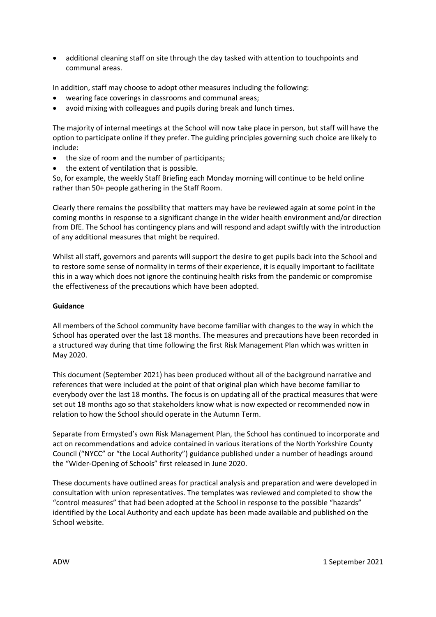• additional cleaning staff on site through the day tasked with attention to touchpoints and communal areas.

In addition, staff may choose to adopt other measures including the following:

- wearing face coverings in classrooms and communal areas;
- avoid mixing with colleagues and pupils during break and lunch times.

The majority of internal meetings at the School will now take place in person, but staff will have the option to participate online if they prefer. The guiding principles governing such choice are likely to include:

- the size of room and the number of participants;
- the extent of ventilation that is possible.

So, for example, the weekly Staff Briefing each Monday morning will continue to be held online rather than 50+ people gathering in the Staff Room.

Clearly there remains the possibility that matters may have be reviewed again at some point in the coming months in response to a significant change in the wider health environment and/or direction from DfE. The School has contingency plans and will respond and adapt swiftly with the introduction of any additional measures that might be required.

Whilst all staff, governors and parents will support the desire to get pupils back into the School and to restore some sense of normality in terms of their experience, it is equally important to facilitate this in a way which does not ignore the continuing health risks from the pandemic or compromise the effectiveness of the precautions which have been adopted.

## **Guidance**

All members of the School community have become familiar with changes to the way in which the School has operated over the last 18 months. The measures and precautions have been recorded in a structured way during that time following the first Risk Management Plan which was written in May 2020.

This document (September 2021) has been produced without all of the background narrative and references that were included at the point of that original plan which have become familiar to everybody over the last 18 months. The focus is on updating all of the practical measures that were set out 18 months ago so that stakeholders know what is now expected or recommended now in relation to how the School should operate in the Autumn Term.

Separate from Ermysted's own Risk Management Plan, the School has continued to incorporate and act on recommendations and advice contained in various iterations of the North Yorkshire County Council ("NYCC" or "the Local Authority") guidance published under a number of headings around the "Wider-Opening of Schools" first released in June 2020.

These documents have outlined areas for practical analysis and preparation and were developed in consultation with union representatives. The templates was reviewed and completed to show the "control measures" that had been adopted at the School in response to the possible "hazards" identified by the Local Authority and each update has been made available and published on the School website.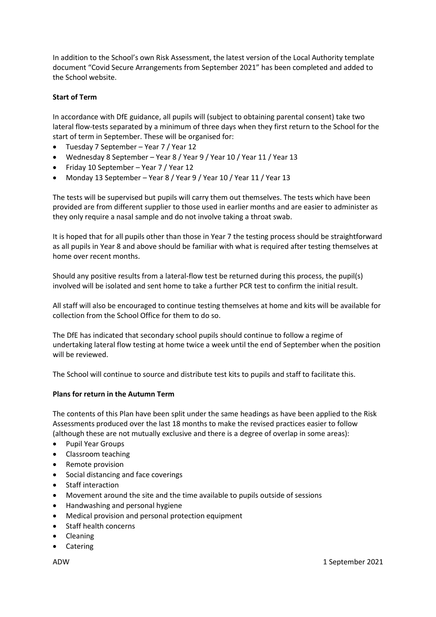In addition to the School's own Risk Assessment, the latest version of the Local Authority template document "Covid Secure Arrangements from September 2021" has been completed and added to the School website.

# **Start of Term**

In accordance with DfE guidance, all pupils will (subject to obtaining parental consent) take two lateral flow-tests separated by a minimum of three days when they first return to the School for the start of term in September. These will be organised for:

- Tuesday 7 September Year 7 / Year 12
- Wednesday 8 September Year 8 / Year 9 / Year 10 / Year 11 / Year 13
- Friday 10 September Year 7 / Year 12
- Monday 13 September Year 8 / Year 9 / Year 10 / Year 11 / Year 13

The tests will be supervised but pupils will carry them out themselves. The tests which have been provided are from different supplier to those used in earlier months and are easier to administer as they only require a nasal sample and do not involve taking a throat swab.

It is hoped that for all pupils other than those in Year 7 the testing process should be straightforward as all pupils in Year 8 and above should be familiar with what is required after testing themselves at home over recent months.

Should any positive results from a lateral-flow test be returned during this process, the pupil(s) involved will be isolated and sent home to take a further PCR test to confirm the initial result.

All staff will also be encouraged to continue testing themselves at home and kits will be available for collection from the School Office for them to do so.

The DfE has indicated that secondary school pupils should continue to follow a regime of undertaking lateral flow testing at home twice a week until the end of September when the position will be reviewed.

The School will continue to source and distribute test kits to pupils and staff to facilitate this.

### **Plans for return in the Autumn Term**

The contents of this Plan have been split under the same headings as have been applied to the Risk Assessments produced over the last 18 months to make the revised practices easier to follow (although these are not mutually exclusive and there is a degree of overlap in some areas):

- Pupil Year Groups
- Classroom teaching
- Remote provision
- Social distancing and face coverings
- Staff interaction
- Movement around the site and the time available to pupils outside of sessions
- Handwashing and personal hygiene
- Medical provision and personal protection equipment
- Staff health concerns
- Cleaning
- Catering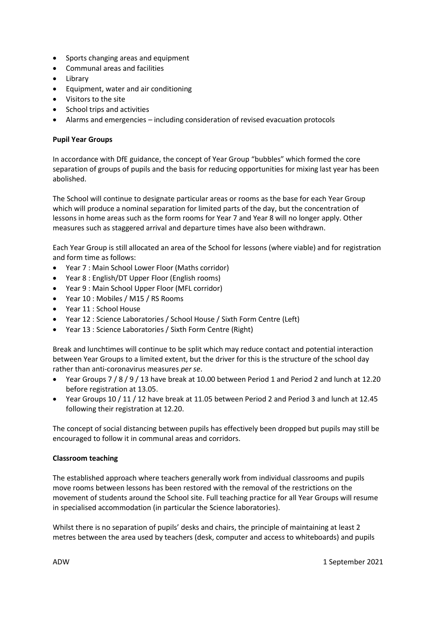- Sports changing areas and equipment
- Communal areas and facilities
- Library
- Equipment, water and air conditioning
- Visitors to the site
- School trips and activities
- Alarms and emergencies including consideration of revised evacuation protocols

# **Pupil Year Groups**

In accordance with DfE guidance, the concept of Year Group "bubbles" which formed the core separation of groups of pupils and the basis for reducing opportunities for mixing last year has been abolished.

The School will continue to designate particular areas or rooms as the base for each Year Group which will produce a nominal separation for limited parts of the day, but the concentration of lessons in home areas such as the form rooms for Year 7 and Year 8 will no longer apply. Other measures such as staggered arrival and departure times have also been withdrawn.

Each Year Group is still allocated an area of the School for lessons (where viable) and for registration and form time as follows:

- Year 7 : Main School Lower Floor (Maths corridor)
- Year 8 : English/DT Upper Floor (English rooms)
- Year 9 : Main School Upper Floor (MFL corridor)
- Year 10 : Mobiles / M15 / RS Rooms
- Year 11 : School House
- Year 12 : Science Laboratories / School House / Sixth Form Centre (Left)
- Year 13 : Science Laboratories / Sixth Form Centre (Right)

Break and lunchtimes will continue to be split which may reduce contact and potential interaction between Year Groups to a limited extent, but the driver for this is the structure of the school day rather than anti-coronavirus measures *per se*.

- Year Groups 7 / 8 / 9 / 13 have break at 10.00 between Period 1 and Period 2 and lunch at 12.20 before registration at 13.05.
- Year Groups 10 / 11 / 12 have break at 11.05 between Period 2 and Period 3 and lunch at 12.45 following their registration at 12.20.

The concept of social distancing between pupils has effectively been dropped but pupils may still be encouraged to follow it in communal areas and corridors.

# **Classroom teaching**

The established approach where teachers generally work from individual classrooms and pupils move rooms between lessons has been restored with the removal of the restrictions on the movement of students around the School site. Full teaching practice for all Year Groups will resume in specialised accommodation (in particular the Science laboratories).

Whilst there is no separation of pupils' desks and chairs, the principle of maintaining at least 2 metres between the area used by teachers (desk, computer and access to whiteboards) and pupils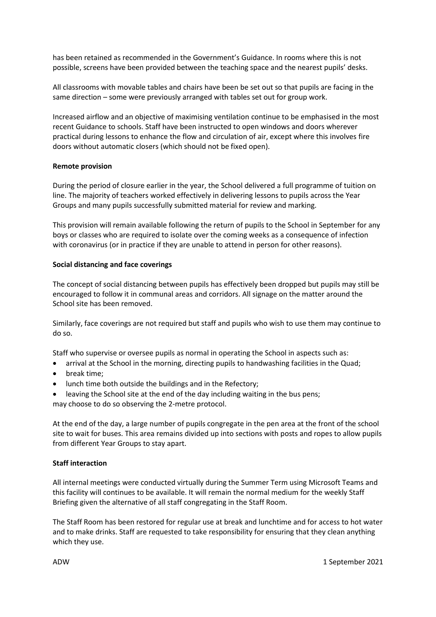has been retained as recommended in the Government's Guidance. In rooms where this is not possible, screens have been provided between the teaching space and the nearest pupils' desks.

All classrooms with movable tables and chairs have been be set out so that pupils are facing in the same direction – some were previously arranged with tables set out for group work.

Increased airflow and an objective of maximising ventilation continue to be emphasised in the most recent Guidance to schools. Staff have been instructed to open windows and doors wherever practical during lessons to enhance the flow and circulation of air, except where this involves fire doors without automatic closers (which should not be fixed open).

#### **Remote provision**

During the period of closure earlier in the year, the School delivered a full programme of tuition on line. The majority of teachers worked effectively in delivering lessons to pupils across the Year Groups and many pupils successfully submitted material for review and marking.

This provision will remain available following the return of pupils to the School in September for any boys or classes who are required to isolate over the coming weeks as a consequence of infection with coronavirus (or in practice if they are unable to attend in person for other reasons).

#### **Social distancing and face coverings**

The concept of social distancing between pupils has effectively been dropped but pupils may still be encouraged to follow it in communal areas and corridors. All signage on the matter around the School site has been removed.

Similarly, face coverings are not required but staff and pupils who wish to use them may continue to do so.

Staff who supervise or oversee pupils as normal in operating the School in aspects such as:

- arrival at the School in the morning, directing pupils to handwashing facilities in the Quad;
- break time;
- lunch time both outside the buildings and in the Refectory;
- leaving the School site at the end of the day including waiting in the bus pens; may choose to do so observing the 2-metre protocol.

At the end of the day, a large number of pupils congregate in the pen area at the front of the school site to wait for buses. This area remains divided up into sections with posts and ropes to allow pupils from different Year Groups to stay apart.

## **Staff interaction**

All internal meetings were conducted virtually during the Summer Term using Microsoft Teams and this facility will continues to be available. It will remain the normal medium for the weekly Staff Briefing given the alternative of all staff congregating in the Staff Room.

The Staff Room has been restored for regular use at break and lunchtime and for access to hot water and to make drinks. Staff are requested to take responsibility for ensuring that they clean anything which they use.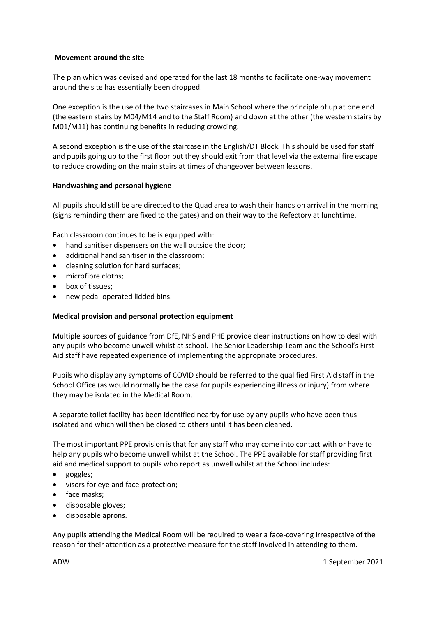## **Movement around the site**

The plan which was devised and operated for the last 18 months to facilitate one-way movement around the site has essentially been dropped.

One exception is the use of the two staircases in Main School where the principle of up at one end (the eastern stairs by M04/M14 and to the Staff Room) and down at the other (the western stairs by M01/M11) has continuing benefits in reducing crowding.

A second exception is the use of the staircase in the English/DT Block. This should be used for staff and pupils going up to the first floor but they should exit from that level via the external fire escape to reduce crowding on the main stairs at times of changeover between lessons.

### **Handwashing and personal hygiene**

All pupils should still be are directed to the Quad area to wash their hands on arrival in the morning (signs reminding them are fixed to the gates) and on their way to the Refectory at lunchtime.

Each classroom continues to be is equipped with:

- hand sanitiser dispensers on the wall outside the door;
- additional hand sanitiser in the classroom;
- cleaning solution for hard surfaces;
- microfibre cloths;
- box of tissues;
- new pedal-operated lidded bins.

### **Medical provision and personal protection equipment**

Multiple sources of guidance from DfE, NHS and PHE provide clear instructions on how to deal with any pupils who become unwell whilst at school. The Senior Leadership Team and the School's First Aid staff have repeated experience of implementing the appropriate procedures.

Pupils who display any symptoms of COVID should be referred to the qualified First Aid staff in the School Office (as would normally be the case for pupils experiencing illness or injury) from where they may be isolated in the Medical Room.

A separate toilet facility has been identified nearby for use by any pupils who have been thus isolated and which will then be closed to others until it has been cleaned.

The most important PPE provision is that for any staff who may come into contact with or have to help any pupils who become unwell whilst at the School. The PPE available for staff providing first aid and medical support to pupils who report as unwell whilst at the School includes:

- goggles;
- visors for eye and face protection;
- face masks;
- disposable gloves;
- disposable aprons.

Any pupils attending the Medical Room will be required to wear a face-covering irrespective of the reason for their attention as a protective measure for the staff involved in attending to them.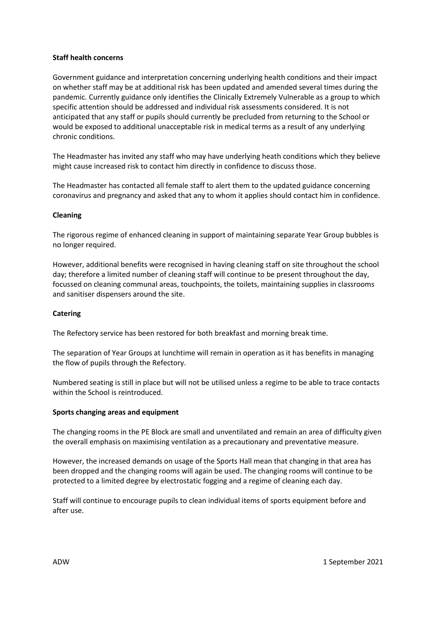### **Staff health concerns**

Government guidance and interpretation concerning underlying health conditions and their impact on whether staff may be at additional risk has been updated and amended several times during the pandemic. Currently guidance only identifies the Clinically Extremely Vulnerable as a group to which specific attention should be addressed and individual risk assessments considered. It is not anticipated that any staff or pupils should currently be precluded from returning to the School or would be exposed to additional unacceptable risk in medical terms as a result of any underlying chronic conditions.

The Headmaster has invited any staff who may have underlying heath conditions which they believe might cause increased risk to contact him directly in confidence to discuss those.

The Headmaster has contacted all female staff to alert them to the updated guidance concerning coronavirus and pregnancy and asked that any to whom it applies should contact him in confidence.

#### **Cleaning**

The rigorous regime of enhanced cleaning in support of maintaining separate Year Group bubbles is no longer required.

However, additional benefits were recognised in having cleaning staff on site throughout the school day; therefore a limited number of cleaning staff will continue to be present throughout the day, focussed on cleaning communal areas, touchpoints, the toilets, maintaining supplies in classrooms and sanitiser dispensers around the site.

### **Catering**

The Refectory service has been restored for both breakfast and morning break time.

The separation of Year Groups at lunchtime will remain in operation as it has benefits in managing the flow of pupils through the Refectory.

Numbered seating is still in place but will not be utilised unless a regime to be able to trace contacts within the School is reintroduced.

#### **Sports changing areas and equipment**

The changing rooms in the PE Block are small and unventilated and remain an area of difficulty given the overall emphasis on maximising ventilation as a precautionary and preventative measure.

However, the increased demands on usage of the Sports Hall mean that changing in that area has been dropped and the changing rooms will again be used. The changing rooms will continue to be protected to a limited degree by electrostatic fogging and a regime of cleaning each day.

Staff will continue to encourage pupils to clean individual items of sports equipment before and after use.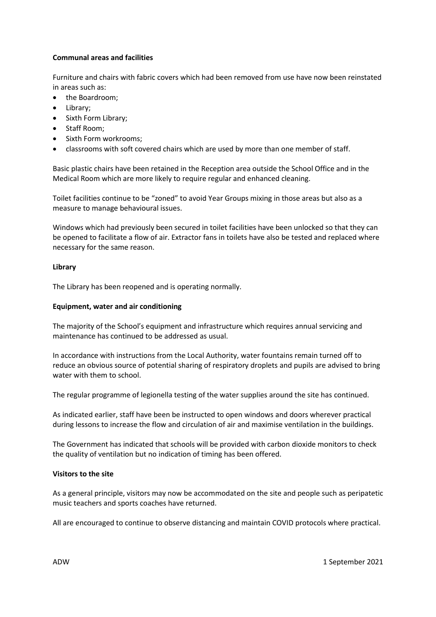## **Communal areas and facilities**

Furniture and chairs with fabric covers which had been removed from use have now been reinstated in areas such as:

- the Boardroom;
- Library;
- Sixth Form Library;
- Staff Room;
- Sixth Form workrooms;
- classrooms with soft covered chairs which are used by more than one member of staff.

Basic plastic chairs have been retained in the Reception area outside the School Office and in the Medical Room which are more likely to require regular and enhanced cleaning.

Toilet facilities continue to be "zoned" to avoid Year Groups mixing in those areas but also as a measure to manage behavioural issues.

Windows which had previously been secured in toilet facilities have been unlocked so that they can be opened to facilitate a flow of air. Extractor fans in toilets have also be tested and replaced where necessary for the same reason.

# **Library**

The Library has been reopened and is operating normally.

# **Equipment, water and air conditioning**

The majority of the School's equipment and infrastructure which requires annual servicing and maintenance has continued to be addressed as usual.

In accordance with instructions from the Local Authority, water fountains remain turned off to reduce an obvious source of potential sharing of respiratory droplets and pupils are advised to bring water with them to school.

The regular programme of legionella testing of the water supplies around the site has continued.

As indicated earlier, staff have been be instructed to open windows and doors wherever practical during lessons to increase the flow and circulation of air and maximise ventilation in the buildings.

The Government has indicated that schools will be provided with carbon dioxide monitors to check the quality of ventilation but no indication of timing has been offered.

# **Visitors to the site**

As a general principle, visitors may now be accommodated on the site and people such as peripatetic music teachers and sports coaches have returned.

All are encouraged to continue to observe distancing and maintain COVID protocols where practical.